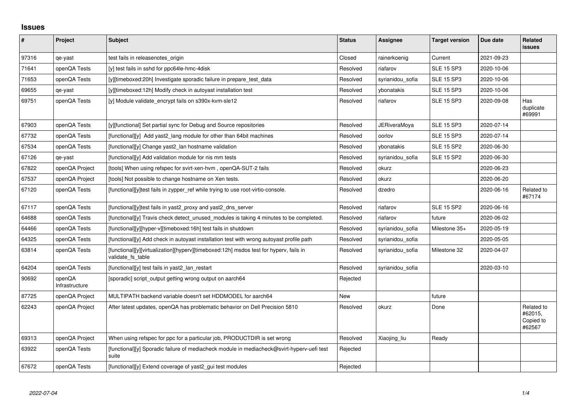## **Issues**

| #     | Project                  | <b>Subject</b>                                                                                              | <b>Status</b> | Assignee            | <b>Target version</b> | Due date   | Related<br><b>issues</b>                     |
|-------|--------------------------|-------------------------------------------------------------------------------------------------------------|---------------|---------------------|-----------------------|------------|----------------------------------------------|
| 97316 | qe-yast                  | test fails in releasenotes origin                                                                           | Closed        | rainerkoenig        | Current               | 2021-09-23 |                                              |
| 71641 | openQA Tests             | [y] test fails in sshd for ppc64le-hmc-4disk                                                                | Resolved      | riafarov            | <b>SLE 15 SP3</b>     | 2020-10-06 |                                              |
| 71653 | openQA Tests             | [y][timeboxed:20h] Investigate sporadic failure in prepare test data                                        | Resolved      | syrianidou_sofia    | <b>SLE 15 SP3</b>     | 2020-10-06 |                                              |
| 69655 | qe-yast                  | [y][timeboxed:12h] Modify check in autoyast installation test                                               | Resolved      | ybonatakis          | <b>SLE 15 SP3</b>     | 2020-10-06 |                                              |
| 69751 | openQA Tests             | [y] Module validate_encrypt fails on s390x-kvm-sle12                                                        | Resolved      | riafarov            | <b>SLE 15 SP3</b>     | 2020-09-08 | Has<br>duplicate<br>#69991                   |
| 67903 | openQA Tests             | [y][functional] Set partial sync for Debug and Source repositories                                          | Resolved      | <b>JERiveraMova</b> | <b>SLE 15 SP3</b>     | 2020-07-14 |                                              |
| 67732 | openQA Tests             | [functional][y] Add yast2 lang module for other than 64bit machines                                         | Resolved      | oorlov              | <b>SLE 15 SP3</b>     | 2020-07-14 |                                              |
| 67534 | openQA Tests             | [functional][y] Change yast2_lan hostname validation                                                        | Resolved      | vbonatakis          | <b>SLE 15 SP2</b>     | 2020-06-30 |                                              |
| 67126 | qe-yast                  | [functional][y] Add validation module for nis mm tests                                                      | Resolved      | syrianidou sofia    | <b>SLE 15 SP2</b>     | 2020-06-30 |                                              |
| 67822 | openQA Project           | [tools] When using refspec for svirt-xen-hvm, openQA-SUT-2 fails                                            | Resolved      | okurz               |                       | 2020-06-23 |                                              |
| 67537 | openQA Project           | [tools] Not possible to change hostname on Xen tests.                                                       | Resolved      | okurz               |                       | 2020-06-20 |                                              |
| 67120 | openQA Tests             | [functional][y]test fails in zypper_ref while trying to use root-virtio-console.                            | Resolved      | dzedro              |                       | 2020-06-16 | Related to<br>#67174                         |
| 67117 | openQA Tests             | [functional][y]test fails in yast2 proxy and yast2 dns server                                               | Resolved      | riafarov            | <b>SLE 15 SP2</b>     | 2020-06-16 |                                              |
| 64688 | openQA Tests             | $[functional]$ Travis check detect unused modules is taking 4 minutes to be completed.                      | Resolved      | riafarov            | future                | 2020-06-02 |                                              |
| 64466 | openQA Tests             | [functional][y][hyper-v][timeboxed:16h] test fails in shutdown                                              | Resolved      | syrianidou_sofia    | Milestone 35+         | 2020-05-19 |                                              |
| 64325 | openQA Tests             | [functional][y] Add check in autoyast installation test with wrong autoyast profile path                    | Resolved      | syrianidou sofia    |                       | 2020-05-05 |                                              |
| 63814 | openQA Tests             | [functional][y][virtualization][hyperv][timeboxed:12h] msdos test for hyperv, fails in<br>validate fs table | Resolved      | syrianidou sofia    | Milestone 32          | 2020-04-07 |                                              |
| 64204 | openQA Tests             | [functional][y] test fails in yast2 lan restart                                                             | Resolved      | syrianidou sofia    |                       | 2020-03-10 |                                              |
| 90692 | openQA<br>Infrastructure | [sporadic] script_output getting wrong output on aarch64                                                    | Rejected      |                     |                       |            |                                              |
| 87725 | openQA Project           | MULTIPATH backend variable doesn't set HDDMODEL for aarch64                                                 | New           |                     | future                |            |                                              |
| 62243 | openQA Project           | After latest updates, openQA has problematic behavior on Dell Precision 5810                                | Resolved      | okurz               | Done                  |            | Related to<br>#62015,<br>Copied to<br>#62567 |
| 69313 | openQA Project           | When using refspec for ppc for a particular job, PRODUCTDIR is set wrong                                    | Resolved      | Xiaojing_liu        | Ready                 |            |                                              |
| 63922 | openQA Tests             | [functional][y] Sporadic failure of mediacheck module in mediacheck@svirt-hyperv-uefi test<br>suite         | Rejected      |                     |                       |            |                                              |
| 67672 | openQA Tests             | [functional][y] Extend coverage of yast2 gui test modules                                                   | Rejected      |                     |                       |            |                                              |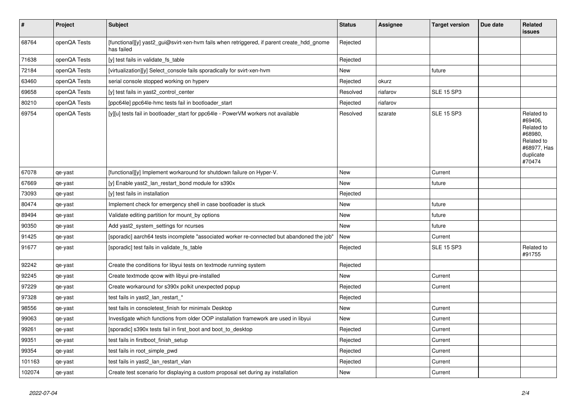| $\vert$ # | Project      | <b>Subject</b>                                                                                           | <b>Status</b> | <b>Assignee</b> | <b>Target version</b> | Due date | Related<br><b>issues</b>                                                                           |
|-----------|--------------|----------------------------------------------------------------------------------------------------------|---------------|-----------------|-----------------------|----------|----------------------------------------------------------------------------------------------------|
| 68764     | openQA Tests | [functional][y] yast2_gui@svirt-xen-hvm fails when retriggered, if parent create_hdd_gnome<br>has failed | Rejected      |                 |                       |          |                                                                                                    |
| 71638     | openQA Tests | [y] test fails in validate fs table                                                                      | Rejected      |                 |                       |          |                                                                                                    |
| 72184     | openQA Tests | [virtualization][y] Select_console fails sporadically for svirt-xen-hvm                                  | New           |                 | future                |          |                                                                                                    |
| 63460     | openQA Tests | serial console stopped working on hyperv                                                                 | Rejected      | okurz           |                       |          |                                                                                                    |
| 69658     | openQA Tests | [y] test fails in yast2_control_center                                                                   | Resolved      | riafarov        | <b>SLE 15 SP3</b>     |          |                                                                                                    |
| 80210     | openQA Tests | [ppc64le] ppc64le-hmc tests fail in bootloader_start                                                     | Rejected      | riafarov        |                       |          |                                                                                                    |
| 69754     | openQA Tests | [y][u] tests fail in bootloader_start for ppc64le - PowerVM workers not available                        | Resolved      | szarate         | <b>SLE 15 SP3</b>     |          | Related to<br>#69406.<br>Related to<br>#68980,<br>Related to<br>#68977, Has<br>duplicate<br>#70474 |
| 67078     | qe-yast      | [functional][y] Implement workaround for shutdown failure on Hyper-V.                                    | New           |                 | Current               |          |                                                                                                    |
| 67669     | qe-yast      | [y] Enable yast2_lan_restart_bond module for s390x                                                       | New           |                 | future                |          |                                                                                                    |
| 73093     | qe-yast      | [y] test fails in installation                                                                           | Rejected      |                 |                       |          |                                                                                                    |
| 80474     | qe-yast      | Implement check for emergency shell in case bootloader is stuck                                          | <b>New</b>    |                 | future                |          |                                                                                                    |
| 89494     | qe-yast      | Validate editing partition for mount_by options                                                          | New           |                 | future                |          |                                                                                                    |
| 90350     | qe-yast      | Add yast2_system_settings for ncurses                                                                    | New           |                 | future                |          |                                                                                                    |
| 91425     | qe-yast      | [sporadic] aarch64 tests incomplete "associated worker re-connected but abandoned the job"               | New           |                 | Current               |          |                                                                                                    |
| 91677     | qe-yast      | [sporadic] test fails in validate fs table                                                               | Rejected      |                 | <b>SLE 15 SP3</b>     |          | Related to<br>#91755                                                                               |
| 92242     | qe-yast      | Create the conditions for libyui tests on textmode running system                                        | Rejected      |                 |                       |          |                                                                                                    |
| 92245     | qe-yast      | Create textmode qcow with libyui pre-installed                                                           | New           |                 | Current               |          |                                                                                                    |
| 97229     | qe-yast      | Create workaround for s390x polkit unexpected popup                                                      | Rejected      |                 | Current               |          |                                                                                                    |
| 97328     | qe-yast      | test fails in yast2_lan_restart_*                                                                        | Rejected      |                 |                       |          |                                                                                                    |
| 98556     | qe-yast      | test fails in consoletest_finish for minimalx Desktop                                                    | New           |                 | Current               |          |                                                                                                    |
| 99063     | qe-yast      | Investigate which functions from older OOP installation framework are used in libyui                     | New           |                 | Current               |          |                                                                                                    |
| 99261     | qe-yast      | [sporadic] s390x tests fail in first_boot and boot_to_desktop                                            | Rejected      |                 | Current               |          |                                                                                                    |
| 99351     | qe-yast      | test fails in firstboot_finish_setup                                                                     | Rejected      |                 | Current               |          |                                                                                                    |
| 99354     | qe-yast      | test fails in root simple pwd                                                                            | Rejected      |                 | Current               |          |                                                                                                    |
| 101163    | qe-yast      | test fails in yast2 lan restart vlan                                                                     | Rejected      |                 | Current               |          |                                                                                                    |
| 102074    | qe-yast      | Create test scenario for displaying a custom proposal set during ay installation                         | New           |                 | Current               |          |                                                                                                    |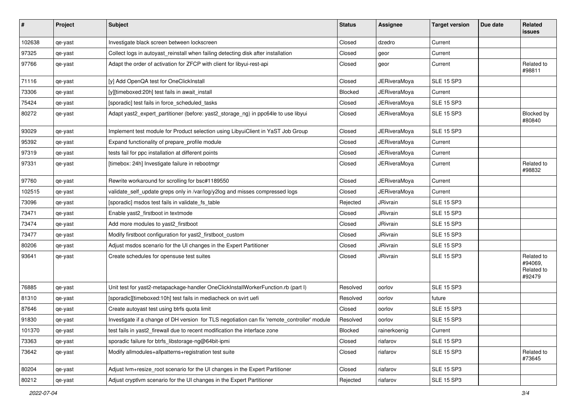| $\sharp$ | Project | <b>Subject</b>                                                                               | <b>Status</b>  | Assignee            | <b>Target version</b> | Due date | Related<br>issues                             |
|----------|---------|----------------------------------------------------------------------------------------------|----------------|---------------------|-----------------------|----------|-----------------------------------------------|
| 102638   | qe-yast | Investigate black screen between lockscreen                                                  | Closed         | dzedro              | Current               |          |                                               |
| 97325    | qe-yast | Collect logs in autoyast_reinstall when failing detecting disk after installation            | Closed         | geor                | Current               |          |                                               |
| 97766    | qe-yast | Adapt the order of activation for ZFCP with client for libyui-rest-api                       | Closed         | geor                | Current               |          | Related to<br>#98811                          |
| 71116    | qe-yast | [y] Add OpenQA test for OneClickInstall                                                      | Closed         | <b>JERiveraMoya</b> | <b>SLE 15 SP3</b>     |          |                                               |
| 73306    | qe-yast | [y][timeboxed:20h] test fails in await install                                               | <b>Blocked</b> | JERiveraMoya        | Current               |          |                                               |
| 75424    | qe-yast | [sporadic] test fails in force_scheduled_tasks                                               | Closed         | <b>JERiveraMoya</b> | <b>SLE 15 SP3</b>     |          |                                               |
| 80272    | qe-yast | Adapt yast2_expert_partitioner (before: yast2_storage_ng) in ppc64le to use libyui           | Closed         | <b>JERiveraMoya</b> | <b>SLE 15 SP3</b>     |          | Blocked by<br>#80840                          |
| 93029    | qe-yast | Implement test module for Product selection using LibyuiClient in YaST Job Group             | Closed         | <b>JERiveraMoya</b> | <b>SLE 15 SP3</b>     |          |                                               |
| 95392    | qe-yast | Expand functionality of prepare_profile module                                               | Closed         | <b>JERiveraMoya</b> | Current               |          |                                               |
| 97319    | qe-yast | tests fail for ppc installation at different points                                          | Closed         | <b>JERiveraMoya</b> | Current               |          |                                               |
| 97331    | qe-yast | [timebox: 24h] Investigate failure in rebootmgr                                              | Closed         | <b>JERiveraMoya</b> | Current               |          | Related to<br>#98832                          |
| 97760    | qe-yast | Rewrite workaround for scrolling for bsc#1189550                                             | Closed         | <b>JERiveraMoya</b> | Current               |          |                                               |
| 102515   | qe-yast | validate_self_update greps only in /var/log/y2log and misses compressed logs                 | Closed         | <b>JERiveraMoya</b> | Current               |          |                                               |
| 73096    | qe-yast | [sporadic] msdos test fails in validate_fs_table                                             | Rejected       | <b>JRivrain</b>     | <b>SLE 15 SP3</b>     |          |                                               |
| 73471    | qe-yast | Enable yast2_firstboot in textmode                                                           | Closed         | JRivrain            | <b>SLE 15 SP3</b>     |          |                                               |
| 73474    | qe-yast | Add more modules to yast2 firstboot                                                          | Closed         | JRivrain            | <b>SLE 15 SP3</b>     |          |                                               |
| 73477    | qe-yast | Modify firstboot configuration for yast2_firstboot_custom                                    | Closed         | <b>JRivrain</b>     | <b>SLE 15 SP3</b>     |          |                                               |
| 80206    | qe-yast | Adjust msdos scenario for the UI changes in the Expert Partitioner                           | Closed         | JRivrain            | <b>SLE 15 SP3</b>     |          |                                               |
| 93641    | qe-yast | Create schedules for opensuse test suites                                                    | Closed         | <b>JRivrain</b>     | <b>SLE 15 SP3</b>     |          | Related to<br>#94069.<br>Related to<br>#92479 |
| 76885    | qe-yast | Unit test for yast2-metapackage-handler OneClickInstallWorkerFunction.rb (part I)            | Resolved       | oorlov              | <b>SLE 15 SP3</b>     |          |                                               |
| 81310    | qe-yast | [sporadic][timeboxed:10h] test fails in mediacheck on svirt uefi                             | Resolved       | oorlov              | future                |          |                                               |
| 87646    | qe-yast | Create autoyast test using btrfs quota limit                                                 | Closed         | oorlov              | <b>SLE 15 SP3</b>     |          |                                               |
| 91830    | qe-yast | Investigate if a change of DH version for TLS negotiation can fix 'remote controller' module | Resolved       | oorlov              | <b>SLE 15 SP3</b>     |          |                                               |
| 101370   | qe-yast | test fails in yast2_firewall due to recent modification the interface zone                   | Blocked        | rainerkoenig        | Current               |          |                                               |
| 73363    | qe-yast | sporadic failure for btrfs libstorage-ng@64bit-ipmi                                          | Closed         | riafarov            | <b>SLE 15 SP3</b>     |          |                                               |
| 73642    | qe-yast | Modify allmodules+allpatterns+registration test suite                                        | Closed         | riafarov            | <b>SLE 15 SP3</b>     |          | Related to<br>#73645                          |
| 80204    | qe-yast | Adjust Ivm+resize root scenario for the UI changes in the Expert Partitioner                 | Closed         | riafarov            | <b>SLE 15 SP3</b>     |          |                                               |
| 80212    | qe-yast | Adjust cryptlvm scenario for the UI changes in the Expert Partitioner                        | Rejected       | riafarov            | <b>SLE 15 SP3</b>     |          |                                               |